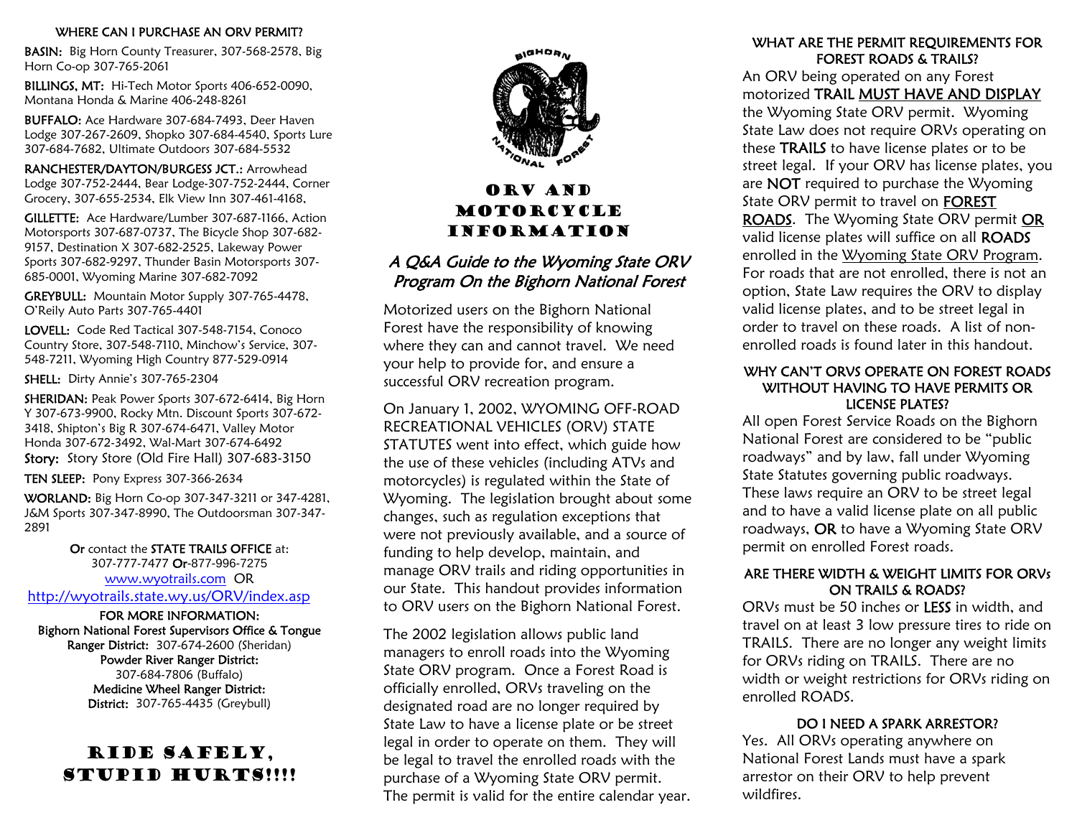WHERE CAN I PURCHASE AN ORV PERMIT?<br>
BASIN: Big Horn County Treasurer, 307-568-2578, Big Horn Co-op 307-765-2061

 BILLINGS, MT: Hi-Tech Motor Sports 406-652-0090, Montana Honda & Marine 406-248-8261 BUFFALO: Ace Hardware 307-684-7493, Deer Haven

Lodge 307-267-2609, Shopko 307-684-4540, Sports Lure 307-684-7682, Ultimate Outdoors 307-684-5532

 RANCHESTER/DAYTON/BURGESS JCT.: Arrowhead Lodge 307-752-2444, Bear Lodge-307-752-2444, Corner Grocery, 307-655-2534, Elk View Inn 307-461-4168,

 GILLETTE: Ace Hardware/Lumber 307-687-1166, Action Motorsports 307-687-0737, The Bicycle Shop 307-682- 9157, Destination X 307-682-2525, Lakeway Power Sports 307-682-9297, Thunder Basin Motorsports 307- 685-0001, Wyoming Marine 307-682-7092

 GREYBULL: Mountain Motor Supply 307-765-4478, O'Reily Auto Parts 307-765-4401

 LOVELL: Code Red Tactical 307-548-7154, Conoco Country Store, 307-548-7110, Minchow's Service, 307- 548-7211, Wyoming High Country 877-529-0914

SHELL: Dirty Annie's 307-765-2304<br>SHERIDAN: Peak Power Sports 307-672-6414, Big Horn Y 307-673-9900, Rocky Mtn. Discount Sports 307-672- 3418, Shipton's Big R 307-674-6471, Valley Motor Honda 307-672-3492, Wal-Mart 307-674-6492

Story: Story Store (Old Fire Hall) 307-683-3150<br>TEN SLEEP: Pony Express 307-366-2634<br>WORLAND: Big Horn Co-op 307-347-3211 or 347-4281, J&M Sports 307-347-8990, The Outdoorsman 307-347- 2891

> Or contact the STATE TRAILS OFFICE at: 307-777-7477 Or-877-996-7275 www.wyotrails.com OR

http://wyotrails.state.wy.us/ORV/index.asp<br>FOR MORE INFORMATION:

Bighorn National Forest Supervisors Office & Tongue Ranger District: 307-674-2600 (Sheridan) Powder River Ranger District:

> 307-684-7806 (Buffalo) Medicine Wheel Ranger District: District: 307-765-4435 (Greybull)

# Ride safely, STUPID HURTS!!!!



# ORV And Motorcycle Information

# A Q&A Guide to the Wyoming State ORV Program On the Bighorn National Forest

Motorized users on the Bighorn National Forest have the responsibility of knowing where they can and cannot travel. We need your help to provide for, and ensure a successful ORV recreation program.

On January 1, 2002, WYOMING OFF-ROAD RECREATIONAL VEHICLES (ORV) STATE STATUTES went into effect, which guide how the use of these vehicles (including ATVs and motorcycles) is regulated within the State of Wyoming. The legislation brought about some changes, such as regulation exceptions that were not previously available, and a source of funding to help develop, maintain, and manage ORV trails and riding opportunities in our State. This handout provides information to ORV users on the Bighorn National Forest.

The 2002 legislation allows public land managers to enroll roads into the Wyoming State ORV program. Once a Forest Road is officially enrolled, ORVs traveling on the designated road are no longer required by State Law to have a license plate or be street legal in order to operate on them. They will be legal to travel the enrolled roads with the purchase of a Wyoming State ORV permit. The permit is valid for the entire calendar year.

### WHAT ARE THE PERMIT REQUIREMENTS FOR FOREST ROADS & TRAILS?

An ORV being operated on any Forest motorized TRAIL MUST HAVE AND DISPLAYthe Wyoming State ORV permit. Wyoming State Law does not require ORVs operating on these TRAILS to have license plates or to be street legal. If your ORV has license plates, you are NOT required to purchase the Wyoming State ORV permit to travel on **FOREST** ROADS. The Wyoming State ORV permit OR valid license plates will suffice on all ROADS enrolled in the Wyoming State ORV Program. For roads that are not enrolled, there is not an option, State Law requires the ORV to display valid license plates, and to be street legal in order to travel on these roads. A list of nonenrolled roads is found later in this handout.

### WHY CAN'T ORVS OPERATE ON FOREST ROADS WITHOUT HAVING TO HAVE PERMITS OR LICENSE PLATES?

All open Forest Service Roads on the Bighorn National Forest are considered to be "public roadways" and by law, fall under Wyoming State Statutes governing public roadways. These laws require an ORV to be street legal and to have a valid license plate on all public roadways, OR to have a Wyoming State ORV permit on enrolled Forest roads.

# ARE THERE WIDTH & WEIGHT LIMITS FOR ORVs ON TRAILS & ROADS?

ORVs must be 50 inches or LESS in width, and travel on at least 3 low pressure tires to ride on TRAILS. There are no longer any weight limits for ORVs riding on TRAILS. There are no width or weight restrictions for ORVs riding on enrolled ROADS.

# DO I NEED A SPARK ARRESTOR?

Yes. All ORVs operating anywhere on National Forest Lands must have a spark arrestor on their ORV to help prevent wildfires.